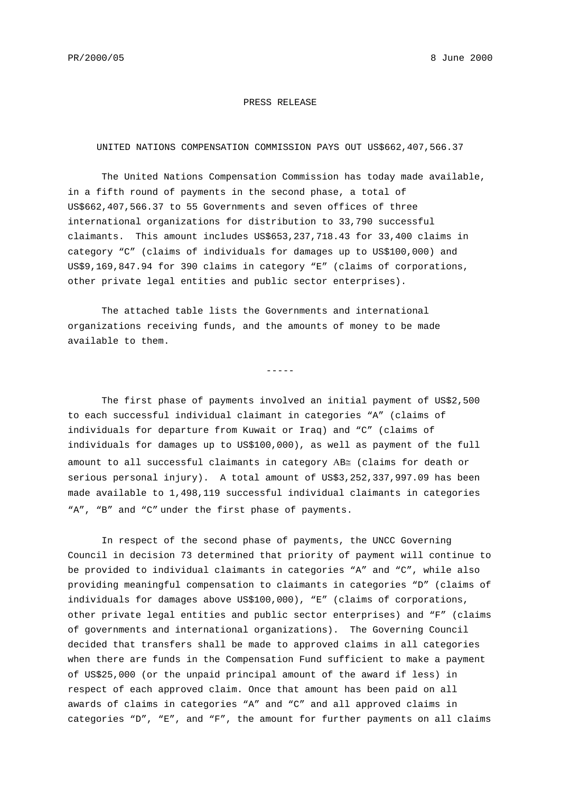#### PRESS RELEASE

#### UNITED NATIONS COMPENSATION COMMISSION PAYS OUT US\$662,407,566.37

The United Nations Compensation Commission has today made available, in a fifth round of payments in the second phase, a total of US\$662,407,566.37 to 55 Governments and seven offices of three international organizations for distribution to 33,790 successful claimants. This amount includes US\$653,237,718.43 for 33,400 claims in category "C" (claims of individuals for damages up to US\$100,000) and US\$9,169,847.94 for 390 claims in category "E" (claims of corporations, other private legal entities and public sector enterprises).

The attached table lists the Governments and international organizations receiving funds, and the amounts of money to be made available to them.

 $-----$ 

The first phase of payments involved an initial payment of US\$2,500 to each successful individual claimant in categories "A" (claims of individuals for departure from Kuwait or Iraq) and "C" (claims of individuals for damages up to US\$100,000), as well as payment of the full amount to all successful claimants in category ΑB≅ (claims for death or serious personal injury). A total amount of US\$3,252,337,997.09 has been made available to 1,498,119 successful individual claimants in categories "A", "B" and "C" under the first phase of payments.

In respect of the second phase of payments, the UNCC Governing Council in decision 73 determined that priority of payment will continue to be provided to individual claimants in categories "A" and "C", while also providing meaningful compensation to claimants in categories "D" (claims of individuals for damages above US\$100,000), "E" (claims of corporations, other private legal entities and public sector enterprises) and "F" (claims of governments and international organizations). The Governing Council decided that transfers shall be made to approved claims in all categories when there are funds in the Compensation Fund sufficient to make a payment of US\$25,000 (or the unpaid principal amount of the award if less) in respect of each approved claim. Once that amount has been paid on all awards of claims in categories "A" and "C" and all approved claims in categories "D", "E", and "F", the amount for further payments on all claims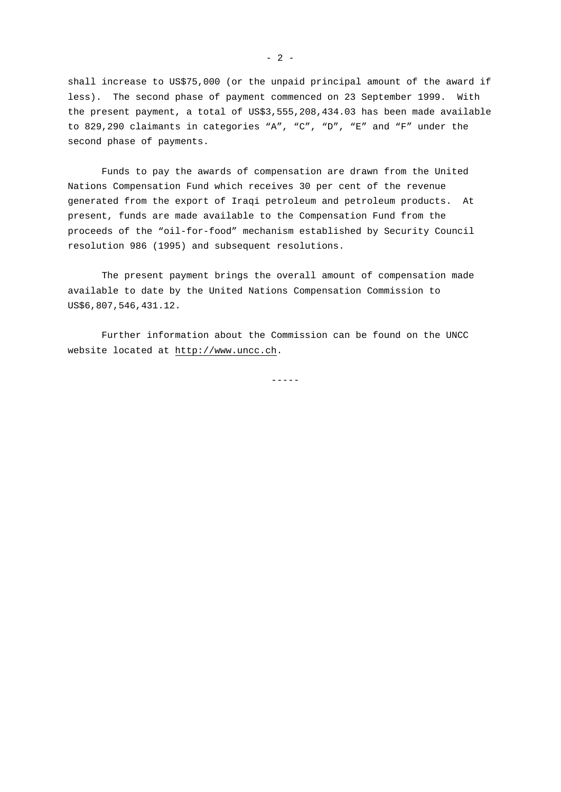shall increase to US\$75,000 (or the unpaid principal amount of the award if less). The second phase of payment commenced on 23 September 1999. With the present payment, a total of US\$3,555,208,434.03 has been made available to 829,290 claimants in categories "A", "C", "D", "E" and "F" under the second phase of payments.

Funds to pay the awards of compensation are drawn from the United Nations Compensation Fund which receives 30 per cent of the revenue generated from the export of Iraqi petroleum and petroleum products. At present, funds are made available to the Compensation Fund from the proceeds of the "oil-for-food" mechanism established by Security Council resolution 986 (1995) and subsequent resolutions.

The present payment brings the overall amount of compensation made available to date by the United Nations Compensation Commission to US\$6,807,546,431.12.

Further information about the Commission can be found on the UNCC website located at http://www.uncc.ch.

-----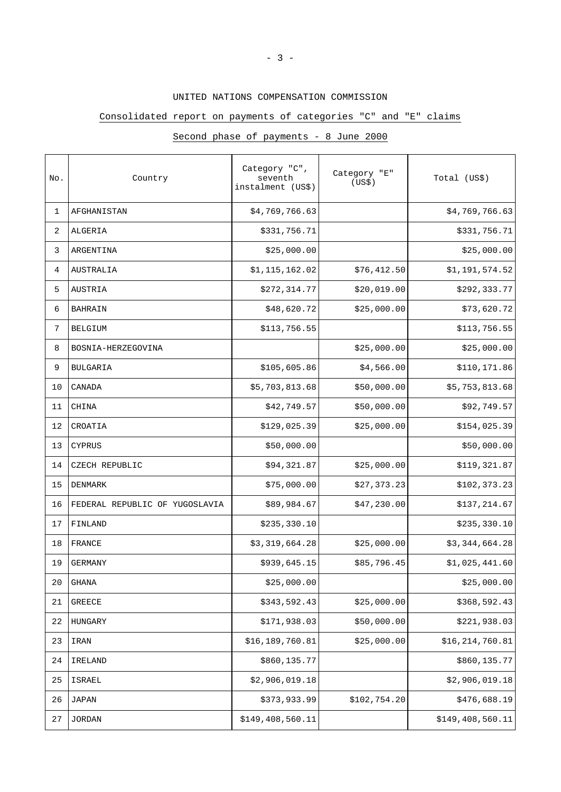## UNITED NATIONS COMPENSATION COMMISSION

## Consolidated report on payments of categories "C" and "E" claims

| No. | Country                        | Category "C",<br>seventh<br>instalment (US\$) | Category "E"<br>(US\$) | Total (US\$)     |
|-----|--------------------------------|-----------------------------------------------|------------------------|------------------|
| 1   | AFGHANISTAN                    | \$4,769,766.63                                |                        | \$4,769,766.63   |
| 2   | ALGERIA                        | \$331,756.71                                  |                        | \$331,756.71     |
| 3   | ARGENTINA                      | \$25,000.00                                   |                        | \$25,000.00      |
| 4   | AUSTRALIA                      | \$1,115,162.02                                | \$76, 412.50           | \$1,191,574.52   |
| 5   | AUSTRIA                        | \$272,314.77                                  | \$20,019.00            | \$292,333.77     |
| 6   | <b>BAHRAIN</b>                 | \$48,620.72                                   | \$25,000.00            | \$73,620.72      |
| 7   | <b>BELGIUM</b>                 | \$113,756.55                                  |                        | \$113,756.55     |
| 8   | BOSNIA-HERZEGOVINA             |                                               | \$25,000.00            | \$25,000.00      |
| 9   | <b>BULGARIA</b>                | \$105,605.86                                  | \$4,566.00             | \$110,171.86     |
| 10  | CANADA                         | \$5,703,813.68                                | \$50,000.00            | \$5,753,813.68   |
| 11  | CHINA                          | \$42,749.57                                   | \$50,000.00            | \$92,749.57      |
| 12  | CROATIA                        | \$129,025.39                                  | \$25,000.00            | \$154,025.39     |
| 13  | <b>CYPRUS</b>                  | \$50,000.00                                   |                        | \$50,000.00      |
| 14  | CZECH REPUBLIC                 | \$94,321.87                                   | \$25,000.00            | \$119,321.87     |
| 15  | DENMARK                        | \$75,000.00                                   | \$27,373.23            | \$102,373.23     |
| 16  | FEDERAL REPUBLIC OF YUGOSLAVIA | \$89,984.67                                   | \$47,230.00            | \$137,214.67     |
| 17  | FINLAND                        | \$235,330.10                                  |                        | \$235,330.10     |
| 18  | FRANCE                         | \$3,319,664.28                                | \$25,000.00            | \$3,344,664.28   |
| 19  | <b>GERMANY</b>                 | \$939,645.15                                  | \$85,796.45            | \$1,025,441.60   |
| 20  | <b>GHANA</b>                   | \$25,000.00                                   |                        | \$25,000.00      |
| 21  | GREECE                         | \$343,592.43                                  | \$25,000.00            | \$368,592.43     |
| 22  | HUNGARY                        | \$171,938.03                                  | \$50,000.00            | \$221,938.03     |
| 23  | IRAN                           | \$16,189,760.81                               | \$25,000.00            | \$16,214,760.81  |
| 24  | IRELAND                        | \$860,135.77                                  |                        | \$860,135.77     |
| 25  | ISRAEL                         | \$2,906,019.18                                |                        | \$2,906,019.18   |
| 26  | JAPAN                          | \$373,933.99                                  | \$102,754.20           | \$476,688.19     |
| 27  | <b>JORDAN</b>                  | \$149,408,560.11                              |                        | \$149,408,560.11 |

# Second phase of payments - 8 June 2000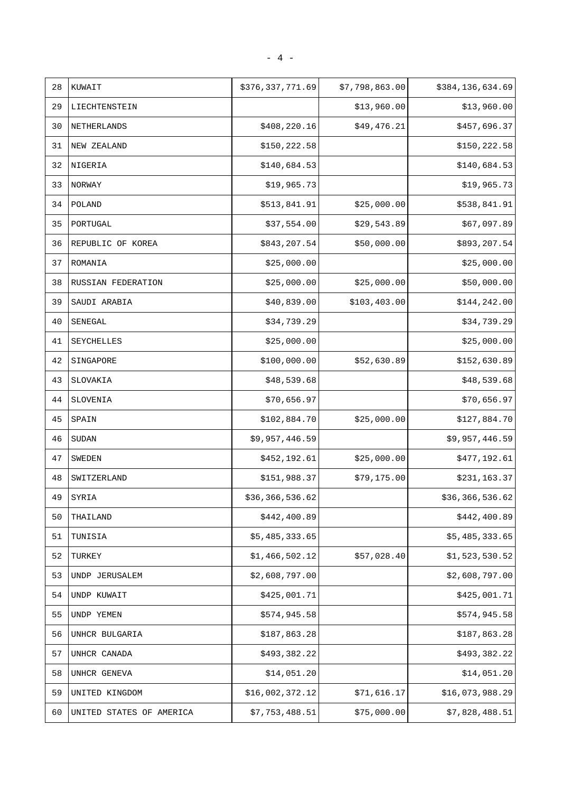| 28 | KUWAIT                   | \$376,337,771.69 | \$7,798,863.00 | \$384,136,634.69 |
|----|--------------------------|------------------|----------------|------------------|
| 29 | LIECHTENSTEIN            |                  | \$13,960.00    | \$13,960.00      |
| 30 | NETHERLANDS              | \$408,220.16     | \$49,476.21    | \$457,696.37     |
| 31 | NEW ZEALAND              | \$150,222.58     |                | \$150,222.58     |
| 32 | NIGERIA                  | \$140,684.53     |                | \$140,684.53     |
| 33 | NORWAY                   | \$19,965.73      |                | \$19,965.73      |
| 34 | POLAND                   | \$513,841.91     | \$25,000.00    | \$538,841.91     |
| 35 | PORTUGAL                 | \$37,554.00      | \$29,543.89    | \$67,097.89      |
| 36 | REPUBLIC OF KOREA        | \$843,207.54     | \$50,000.00    | \$893,207.54     |
| 37 | ROMANIA                  | \$25,000.00      |                | \$25,000.00      |
| 38 | RUSSIAN FEDERATION       | \$25,000.00      | \$25,000.00    | \$50,000.00      |
| 39 | SAUDI ARABIA             | \$40,839.00      | \$103,403.00   | \$144, 242.00    |
| 40 | SENEGAL                  | \$34,739.29      |                | \$34,739.29      |
| 41 | SEYCHELLES               | \$25,000.00      |                | \$25,000.00      |
| 42 | SINGAPORE                | \$100,000.00     | \$52,630.89    | \$152,630.89     |
| 43 | SLOVAKIA                 | \$48,539.68      |                | \$48,539.68      |
| 44 | SLOVENIA                 | \$70,656.97      |                | \$70,656.97      |
| 45 | SPAIN                    | \$102,884.70     | \$25,000.00    | \$127,884.70     |
| 46 | <b>SUDAN</b>             | \$9,957,446.59   |                | \$9,957,446.59   |
| 47 | <b>SWEDEN</b>            | \$452,192.61     | \$25,000.00    | \$477,192.61     |
| 48 | SWITZERLAND              | \$151,988.37     | \$79,175.00    | \$231,163.37     |
| 49 | SYRIA                    | \$36,366,536.62  |                | \$36,366,536.62  |
| 50 | THAILAND                 | \$442,400.89     |                | \$442,400.89     |
| 51 | TUNISIA                  | \$5,485,333.65   |                | \$5,485,333.65   |
| 52 | TURKEY                   | \$1,466,502.12   | \$57,028.40    | \$1,523,530.52   |
| 53 | UNDP JERUSALEM           | \$2,608,797.00   |                | \$2,608,797.00   |
| 54 | UNDP KUWAIT              | \$425,001.71     |                | \$425,001.71     |
| 55 | UNDP YEMEN               | \$574,945.58     |                | \$574,945.58     |
| 56 | UNHCR BULGARIA           | \$187,863.28     |                | \$187,863.28     |
| 57 | UNHCR CANADA             | \$493,382.22     |                | \$493,382.22     |
| 58 | UNHCR GENEVA             | \$14,051.20      |                | \$14,051.20      |
| 59 | UNITED KINGDOM           | \$16,002,372.12  | \$71,616.17    | \$16,073,988.29  |
| 60 | UNITED STATES OF AMERICA | \$7,753,488.51   | \$75,000.00    | \$7,828,488.51   |